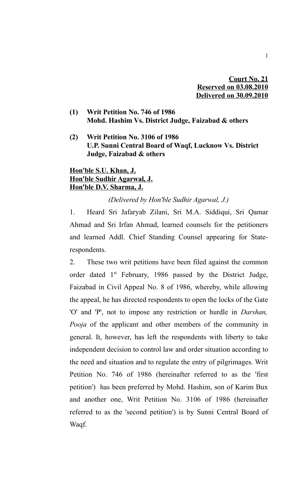**Court No. 21 Reserved on 03.08.2010 Delivered on 30.09.2010**

- **(1) Writ Petition No. 746 of 1986 Mohd. Hashim Vs. District Judge, Faizabad & others**
- **(2) Writ Petition No. 3106 of 1986 U.P. Sunni Central Board of Waqf, Lucknow Vs. District Judge, Faizabad & others**

## **Hon'ble S.U. Khan, J. Hon'ble Sudhir Agarwal, J. Hon'ble D.V. Sharma, J.**

*(Delivered by Hon'ble Sudhir Agarwal, J.)*

1. Heard Sri Jafaryab Zilani, Sri M.A. Siddiqui, Sri Qamar Ahmad and Sri Irfan Ahmad, learned counsels for the petitioners and learned Addl. Chief Standing Counsel appearing for Staterespondents.

2. These two writ petitions have been filed against the common order dated 1<sup>st</sup> February, 1986 passed by the District Judge, Faizabad in Civil Appeal No. 8 of 1986, whereby, while allowing the appeal, he has directed respondents to open the locks of the Gate 'O' and 'P', not to impose any restriction or hurdle in *Darshan, Pooja* of the applicant and other members of the community in general. It, however, has left the respondents with liberty to take independent decision to control law and order situation according to the need and situation and to regulate the entry of pilgrimages. Writ Petition No. 746 of 1986 (hereinafter referred to as the 'first petition') has been preferred by Mohd. Hashim, son of Karim Bux and another one, Writ Petition No. 3106 of 1986 (hereinafter referred to as the 'second petition') is by Sunni Central Board of Waqf.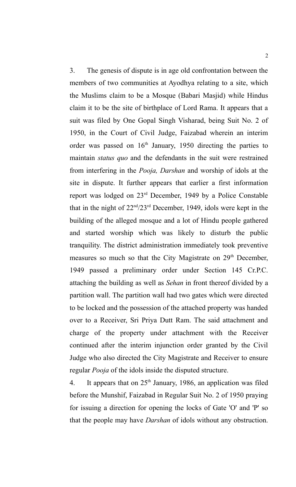3. The genesis of dispute is in age old confrontation between the members of two communities at Ayodhya relating to a site, which the Muslims claim to be a Mosque (Babari Masjid) while Hindus claim it to be the site of birthplace of Lord Rama. It appears that a suit was filed by One Gopal Singh Visharad, being Suit No. 2 of 1950, in the Court of Civil Judge, Faizabad wherein an interim order was passed on  $16<sup>th</sup>$  January, 1950 directing the parties to maintain *status quo* and the defendants in the suit were restrained from interfering in the *Pooja, Darshan* and worship of idols at the site in dispute. It further appears that earlier a first information report was lodged on 23rd December, 1949 by a Police Constable that in the night of  $22<sup>nd</sup>/23<sup>rd</sup>$  December, 1949, idols were kept in the building of the alleged mosque and a lot of Hindu people gathered and started worship which was likely to disturb the public tranquility. The district administration immediately took preventive measures so much so that the City Magistrate on 29<sup>th</sup> December, 1949 passed a preliminary order under Section 145 Cr.P.C. attaching the building as well as *Sehan* in front thereof divided by a partition wall. The partition wall had two gates which were directed to be locked and the possession of the attached property was handed over to a Receiver, Sri Priya Dutt Ram. The said attachment and charge of the property under attachment with the Receiver continued after the interim injunction order granted by the Civil Judge who also directed the City Magistrate and Receiver to ensure regular *Pooja* of the idols inside the disputed structure.

4. It appears that on  $25<sup>th</sup>$  January, 1986, an application was filed before the Munshif, Faizabad in Regular Suit No. 2 of 1950 praying for issuing a direction for opening the locks of Gate 'O' and 'P' so that the people may have *Darshan* of idols without any obstruction.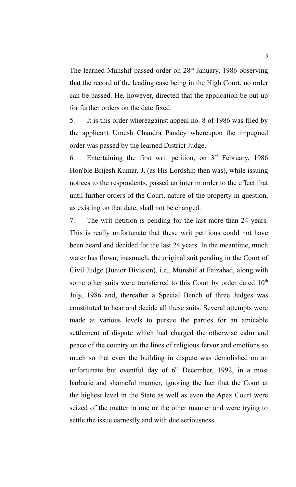The learned Munshif passed order on  $28<sup>th</sup>$  January, 1986 observing that the record of the leading case being in the High Court, no order can be passed. He, however, directed that the application be put up for further orders on the date fixed.

5. It is this order whereagainst appeal no. 8 of 1986 was filed by the applicant Umesh Chandra Pandey whereupon the impugned order was passed by the learned District Judge.

6. Entertaining the first writ petition, on  $3<sup>rd</sup>$  February, 1986 Hon'ble Brijesh Kumar, J. (as His Lordship then was), while issuing notices to the respondents, passed an interim order to the effect that until further orders of the Court, nature of the property in question, as existing on that date, shall not be changed.

7. The writ petition is pending for the last more than 24 years. This is really unfortunate that these writ petitions could not have been heard and decided for the last 24 years. In the meantime, much water has flown, inasmuch, the original suit pending in the Court of Civil Judge (Junior Division), i.e., Munshif at Faizabad, along with some other suits were transferred to this Court by order dated  $10<sup>th</sup>$ July, 1986 and, thereafter a Special Bench of three Judges was constituted to hear and decide all these suits. Several attempts were made at various levels to pursue the parties for an amicable settlement of dispute which had charged the otherwise calm and peace of the country on the lines of religious fervor and emotions so much so that even the building in dispute was demolished on an unfortunate but eventful day of  $6<sup>th</sup>$  December, 1992, in a most barbaric and shameful manner, ignoring the fact that the Court at the highest level in the State as well as even the Apex Court were seized of the matter in one or the other manner and were trying to settle the issue earnestly and with due seriousness.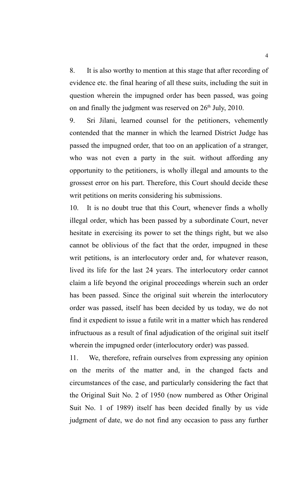8. It is also worthy to mention at this stage that after recording of evidence etc. the final hearing of all these suits, including the suit in question wherein the impugned order has been passed, was going on and finally the judgment was reserved on  $26<sup>th</sup>$  July, 2010.

9. Sri Jilani, learned counsel for the petitioners, vehemently contended that the manner in which the learned District Judge has passed the impugned order, that too on an application of a stranger, who was not even a party in the suit. without affording any opportunity to the petitioners, is wholly illegal and amounts to the grossest error on his part. Therefore, this Court should decide these writ petitions on merits considering his submissions.

10. It is no doubt true that this Court, whenever finds a wholly illegal order, which has been passed by a subordinate Court, never hesitate in exercising its power to set the things right, but we also cannot be oblivious of the fact that the order, impugned in these writ petitions, is an interlocutory order and, for whatever reason, lived its life for the last 24 years. The interlocutory order cannot claim a life beyond the original proceedings wherein such an order has been passed. Since the original suit wherein the interlocutory order was passed, itself has been decided by us today, we do not find it expedient to issue a futile writ in a matter which has rendered infructuous as a result of final adjudication of the original suit itself wherein the impugned order (interlocutory order) was passed.

11. We, therefore, refrain ourselves from expressing any opinion on the merits of the matter and, in the changed facts and circumstances of the case, and particularly considering the fact that the Original Suit No. 2 of 1950 (now numbered as Other Original Suit No. 1 of 1989) itself has been decided finally by us vide judgment of date, we do not find any occasion to pass any further